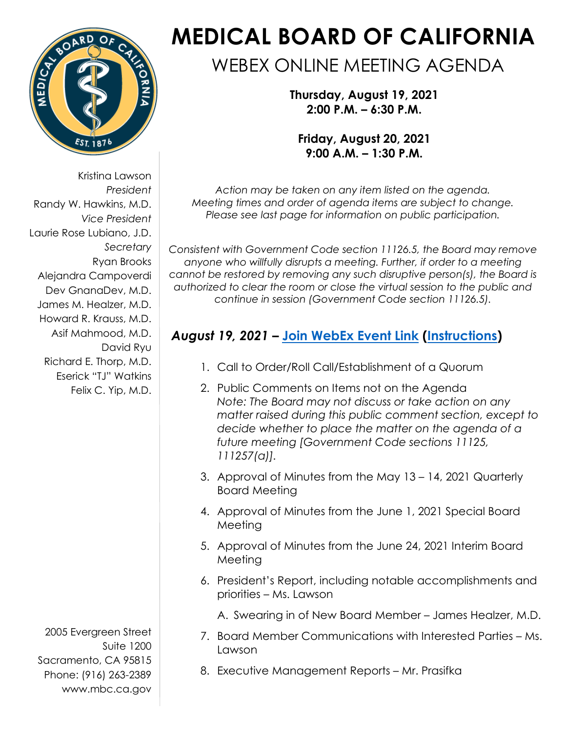

Kristina Lawson *President*  Randy W. Hawkins, M.D. *Vice President*  Laurie Rose Lubiano, J.D. *Secretary*  Ryan Brooks Alejandra Campoverdi Dev GnanaDev, M.D. James M. Healzer, M.D. Howard R. Krauss, M.D. Asif Mahmood, M.D. David Ryu Richard E. Thorp, M.D. Eserick "TJ" Watkins Felix C. Yip, M.D.

2005 Evergreen Street Suite 1200 Sacramento, CA 95815 Phone: (916) 263-2389 [www.mbc.ca.gov](http://www.mbc.ca.gov/) 

# **MEDICAL BOARD OF CALIFORNIA**

# WEBEX ONLINE MEETING AGENDA

**Thursday, August 19, 2021 2:00 P.M. – 6:30 P.M.** 

**Friday, August 20, 2021 9:00 A.M. – 1:30 P.M.** 

*Action may be taken on any item listed on the agenda. Meeting times and order of agenda items are subject to change. Please see last page for information on public participation.*

*Consistent with Government Code section 11126.5, the Board may remove anyone who willfully disrupts a meeting. Further, if order to a meeting cannot be restored by removing any such disruptive person(s), the Board is authorized to clear the room or close the virtual session to the public and continue in session (Government Code section 11126.5).* 

## *August 19, 2021* **– [Join WebEx Event Link](https://dca-meetings.webex.com/dca-meetings/onstage/g.php?MTID=e2df830e0c907da9f6c6cb4b10e926f38) [\(Instructions](https://www.mbc.ca.gov/Download/User-Guides/HowToJoinAWebExEvent.pdf))**

- 1. Call to Order/Roll Call/Establishment of a Quorum
- 2. Public Comments on Items not on the Agenda *Note: The Board may not discuss or take action on any matter raised during this public comment section, except to decide whether to place the matter on the agenda of a future meeting [Government Code sections 11125, 111257(a)].*
- 3. Approval of Minutes from the May 13 14, 2021 Quarterly Board Meeting
- 4. Approval of Minutes from the June 1, 2021 Special Board Meeting
- 5. Approval of Minutes from the June 24, 2021 Interim Board Meeting
- 6. President's Report, including notable accomplishments and priorities – Ms. Lawson
	- A. Swearing in of New Board Member James Healzer, M.D.
- 7. Board Member Communications with Interested Parties Ms. Lawson
- 8. Executive Management Reports Mr. Prasifka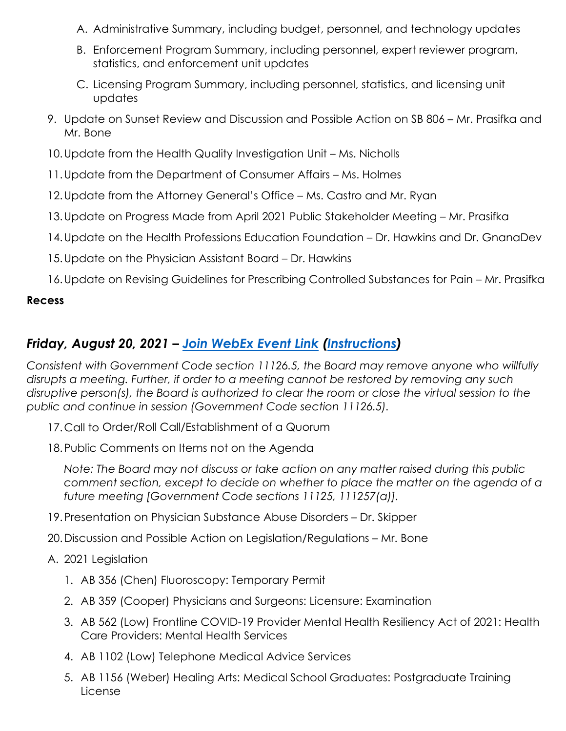- A. Administrative Summary, including budget, personnel, and technology updates
- B. Enforcement Program Summary, including personnel, expert reviewer program, statistics, and enforcement unit updates
- C. Licensing Program Summary, including personnel, statistics, and licensing unit updates
- 9. Update on Sunset Review and Discussion and Possible Action on SB 806 Mr. Prasifka and Mr. Bone
- 10.Update from the Health Quality Investigation Unit Ms. Nicholls
- 11.Update from the Department of Consumer Affairs Ms. Holmes
- 12.Update from the Attorney General's Office Ms. Castro and Mr. Ryan
- 13.Update on Progress Made from April 2021 Public Stakeholder Meeting Mr. Prasifka
- 14.Update on the Health Professions Education Foundation Dr. Hawkins and Dr. GnanaDev
- 15.Update on the Physician Assistant Board Dr. Hawkins
- 16.Update on Revising Guidelines for Prescribing Controlled Substances for Pain Mr. Prasifka

#### **Recess**

### *Friday, August 20, 2021 – [Join WebEx Event Link](https://dca-meetings.webex.com/dca-meetings/onstage/g.php?MTID=ef3b5165ad3825d7ada0768342570f169) [\(Instructions](https://www.mbc.ca.gov/Download/User-Guides/HowToJoinAWebExEvent.pdf))*

*Consistent with Government Code section 11126.5, the Board may remove anyone who willfully disrupts a meeting. Further, if order to a meeting cannot be restored by removing any such disruptive person(s), the Board is authorized to clear the room or close the virtual session to the public and continue in session (Government Code section 11126.5).* 

- 17.Call to Order/Roll Call/Establishment of a Quorum
- 18.Public Comments on Items not on the Agenda

*Note: The Board may not discuss or take action on any matter raised during this public comment section, except to decide on whether to place the matter on the agenda of a future meeting [Government Code sections 11125, 111257(a)].*

- 19.Presentation on Physician Substance Abuse Disorders Dr. Skipper
- 20.Discussion and Possible Action on Legislation/Regulations Mr. Bone

#### A. 2021 Legislation

- 1. AB 356 (Chen) Fluoroscopy: Temporary Permit
- 2. AB 359 (Cooper) Physicians and Surgeons: Licensure: Examination
- 3. AB 562 (Low) Frontline COVID-19 Provider Mental Health Resiliency Act of 2021: Health Care Providers: Mental Health Services
- 4. AB 1102 (Low) Telephone Medical Advice Services
- 5. AB 1156 (Weber) Healing Arts: Medical School Graduates: Postgraduate Training License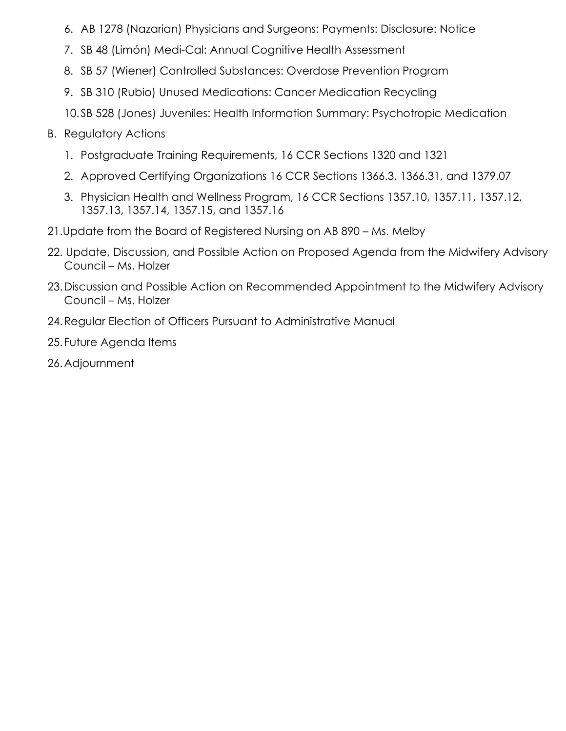- 6. AB 1278 (Nazarian) Physicians and Surgeons: Payments: Disclosure: Notice
- 7. SB 48 (Limón) Medi-Cal: Annual Cognitive Health Assessment
- 8. SB 57 (Wiener) Controlled Substances: Overdose Prevention Program
- 9. SB 310 (Rubio) Unused Medications: Cancer Medication Recycling
- 10.SB 528 (Jones) Juveniles: Health Information Summary: Psychotropic Medication
- B. Regulatory Actions
	- 1. Postgraduate Training Requirements, 16 CCR Sections 1320 and 1321
	- 2. Approved Certifying Organizations 16 CCR Sections 1366.3, 1366.31, and 1379.07
	- 3. Physician Health and Wellness Program, 16 CCR Sections 1357.10, 1357.11, 1357.12, 1357.13, 1357.14, 1357.15, and 1357.16
- 21.Update from the Board of Registered Nursing on AB 890 Ms. Melby
- 22. Update, Discussion, and Possible Action on Proposed Agenda from the Midwifery Advisory Council – Ms. Holzer
- 23.Discussion and Possible Action on Recommended Appointment to the Midwifery Advisory Council – Ms. Holzer
- 24.Regular Election of Officers Pursuant to Administrative Manual
- 25. Future Agenda Items
- 26.Adjournment